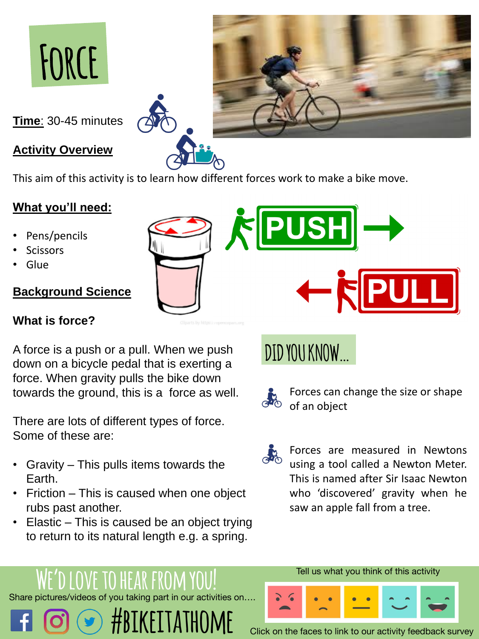

**Time**: 30-45 minutes

#### **Activity Overview**

This aim of this activity is to learn how different forces work to make a bike move.

### **What you'll need:**

- Pens/pencils
- **Scissors**
- **Glue**

Forces can change the size or shape of an object

# **DID YOU KNOW…**



#### **Background Science**

#### **What is force?**

A force is a push or a pull. When we push down on a bicycle pedal that is exerting a force. When gravity pulls the bike down towards the ground, this is a force as well.

## Share pictures/videos of you taking part in our activities on…. **#BIKEITATHOME** Click on the faces to link to our activity feedback survey **OVE TO HEAR FROM**

There are lots of different types of force. Some of these are:



- Gravity This pulls items towards the Earth.
- Friction This is caused when one object rubs past another.
- Elastic This is caused be an object trying to return to its natural length e.g. a spring.





#### Tell us what you think of this activity